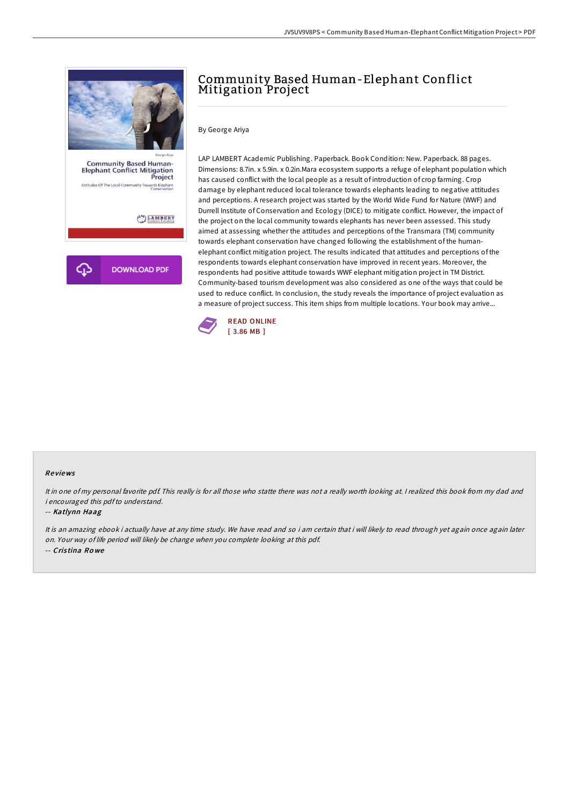

# Community Based Human-Elephant Conflict Mitigation Project

## By George Ariya

LAP LAMBERT Academic Publishing. Paperback. Book Condition: New. Paperback. 88 pages. Dimensions: 8.7in. x 5.9in. x 0.2in.Mara ecosystem supports a refuge of elephant population which has caused conflict with the local people as a result of introduction of crop farming. Crop damage by elephant reduced local tolerance towards elephants leading to negative attitudes and perceptions. A research project was started by the World Wide Fund for Nature (WWF) and Durrell Institute of Conservation and Ecology (DICE) to mitigate conflict. However, the impact of the project on the local community towards elephants has never been assessed. This study aimed at assessing whether the attitudes and perceptions of the Transmara (TM) community towards elephant conservation have changed following the establishment of the humanelephant conflict mitigation project. The results indicated that attitudes and perceptions of the respondents towards elephant conservation have improved in recent years. Moreover, the respondents had positive attitude towards WWF elephant mitigation project in TM District. Community-based tourism development was also considered as one of the ways that could be used to reduce conflict. In conclusion, the study reveals the importance of project evaluation as a measure of project success. This item ships from multiple locations. Your book may arrive...



#### Re views

It in one of my personal favorite pdf. This really is for all those who statte there was not <sup>a</sup> really worth looking at. <sup>I</sup> realized this book from my dad and i encouraged this pdfto understand.

#### -- Katlynn Haag

It is an amazing ebook i actually have at any time study. We have read and so i am certain that i will likely to read through yet again once again later on. Your way of life period will likely be change when you complete looking at this pdf. -- Cris tina Ro we